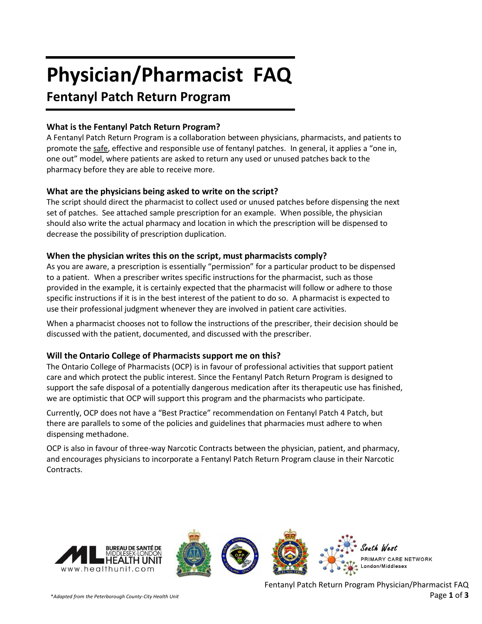# **Physician/Pharmacist FAQ**

# **Fentanyl Patch Return Program**

# **What is the Fentanyl Patch Return Program?**

A Fentanyl Patch Return Program is a collaboration between physicians, pharmacists, and patients to promote the safe, effective and responsible use of fentanyl patches. In general, it applies a "one in, one out" model, where patients are asked to return any used or unused patches back to the pharmacy before they are able to receive more.

# **What are the physicians being asked to write on the script?**

The script should direct the pharmacist to collect used or unused patches before dispensing the next set of patches. See attached sample prescription for an example. When possible, the physician should also write the actual pharmacy and location in which the prescription will be dispensed to decrease the possibility of prescription duplication.

# **When the physician writes this on the script, must pharmacists comply?**

As you are aware, a prescription is essentially "permission" for a particular product to be dispensed to a patient. When a prescriber writes specific instructions for the pharmacist, such as those provided in the example, it is certainly expected that the pharmacist will follow or adhere to those specific instructions if it is in the best interest of the patient to do so. A pharmacist is expected to use their professional judgment whenever they are involved in patient care activities.

When a pharmacist chooses not to follow the instructions of the prescriber, their decision should be discussed with the patient, documented, and discussed with the prescriber.

# **Will the Ontario College of Pharmacists support me on this?**

The Ontario College of Pharmacists (OCP) is in favour of professional activities that support patient care and which protect the public interest. Since the Fentanyl Patch Return Program is designed to support the safe disposal of a potentially dangerous medication after its therapeutic use has finished, we are optimistic that OCP will support this program and the pharmacists who participate.

Currently, OCP does not have a "Best Practice" recommendation on Fentanyl Patch 4 Patch, but there are parallels to some of the policies and guidelines that pharmacies must adhere to when dispensing methadone.

OCP is also in favour of three-way Narcotic Contracts between the physician, patient, and pharmacy, and encourages physicians to incorporate a Fentanyl Patch Return Program clause in their Narcotic Contracts.

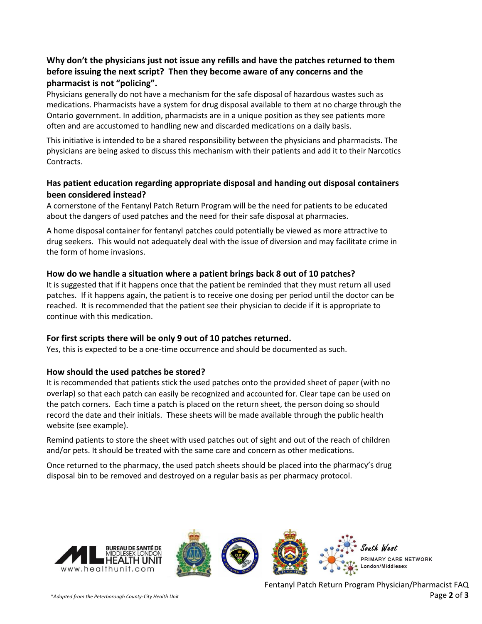# **Why don't the physicians just not issue any refills and have the patches returned to them before issuing the next script? Then they become aware of any concerns and the pharmacist is not "policing".**

Physicians generally do not have a mechanism for the safe disposal of hazardous wastes such as medications. Pharmacists have a system for drug disposal available to them at no charge through the Ontario government. In addition, pharmacists are in a unique position as they see patients more often and are accustomed to handling new and discarded medications on a daily basis.

This initiative is intended to be a shared responsibility between the physicians and pharmacists. The physicians are being asked to discuss this mechanism with their patients and add it to their Narcotics Contracts.

#### **Has patient education regarding appropriate disposal and handing out disposal containers been considered instead?**

A cornerstone of the Fentanyl Patch Return Program will be the need for patients to be educated about the dangers of used patches and the need for their safe disposal at pharmacies.

A home disposal container for fentanyl patches could potentially be viewed as more attractive to drug seekers. This would not adequately deal with the issue of diversion and may facilitate crime in the form of home invasions.

#### **How do we handle a situation where a patient brings back 8 out of 10 patches?**

It is suggested that if it happens once that the patient be reminded that they must return all used patches. If it happens again, the patient is to receive one dosing per period until the doctor can be reached. It is recommended that the patient see their physician to decide if it is appropriate to continue with this medication.

#### **For first scripts there will be only 9 out of 10 patches returned.**

Yes, this is expected to be a one-time occurrence and should be documented as such.

#### **How should the used patches be stored?**

It is recommended that patients stick the used patches onto the provided sheet of paper (with no overlap) so that each patch can easily be recognized and accounted for. Clear tape can be used on the patch corners. Each time a patch is placed on the return sheet, the person doing so should record the date and their initials. These sheets will be made available through the public health website (see example).

Remind patients to store the sheet with used patches out of sight and out of the reach of children and/or pets. It should be treated with the same care and concern as other medications.

Once returned to the pharmacy, the used patch sheets should be placed into the pharmacy's drug disposal bin to be removed and destroyed on a regular basis as per pharmacy protocol.